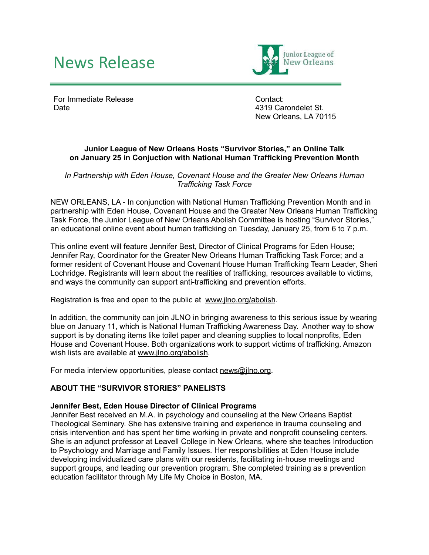# News Release



For Immediate Release Date

Contact: 4319 Carondelet St. New Orleans, LA 70115

#### **Junior League of New Orleans Hosts "Survivor Stories," an Online Talk on January 25 in Conjuction with National Human Trafficking Prevention Month**

*In Partnership with Eden House, Covenant House and the Greater New Orleans Human Trafficking Task Force*

NEW ORLEANS, LA - In conjunction with National Human Trafficking Prevention Month and in partnership with Eden House, Covenant House and the Greater New Orleans Human Trafficking Task Force, the Junior League of New Orleans Abolish Committee is hosting "Survivor Stories," an educational online event about human trafficking on Tuesday, January 25, from 6 to 7 p.m.

This online event will feature Jennifer Best, Director of Clinical Programs for Eden House; Jennifer Ray, Coordinator for the Greater New Orleans Human Trafficking Task Force; and a former resident of Covenant House and Covenant House Human Trafficking Team Leader, Sheri Lochridge. Registrants will learn about the realities of trafficking, resources available to victims, and ways the community can support anti-trafficking and prevention efforts.

Registration is free and open to the public at [www.jlno.org/abolish](http://www.jlno.org/abolish).

In addition, the community can join JLNO in bringing awareness to this serious issue by wearing blue on January 11, which is National Human Trafficking Awareness Day. Another way to show support is by donating items like toilet paper and cleaning supplies to local nonprofits, Eden House and Covenant House. Both organizations work to support victims of trafficking. Amazon wish lists are available at [www.jlno.org/abolish.](http://www.jlno.org/abolish)

For media interview opportunities, please contact [news@jlno.org.](mailto:news@jlno.org)

## **ABOUT THE "SURVIVOR STORIES" PANELISTS**

#### **Jennifer Best, Eden House Director of Clinical Programs**

Jennifer Best received an M.A. in psychology and counseling at the New Orleans Baptist Theological Seminary. She has extensive training and experience in trauma counseling and crisis intervention and has spent her time working in private and nonprofit counseling centers. She is an adjunct professor at Leavell College in New Orleans, where she teaches Introduction to Psychology and Marriage and Family Issues. Her responsibilities at Eden House include developing individualized care plans with our residents, facilitating in-house meetings and support groups, and leading our prevention program. She completed training as a prevention education facilitator through My Life My Choice in Boston, MA.